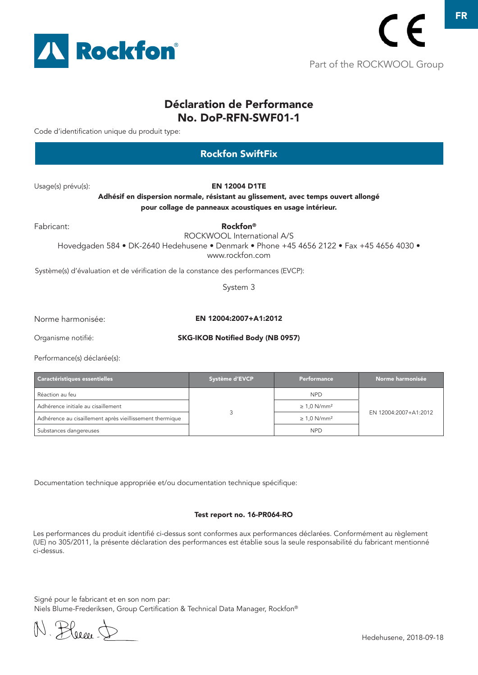

### Déclaration de Performance No. DoP-RFN-SWF01-1

Code d'identification unique du produit type:

| <b>Rockfon SwiftFix</b>                 |                              |                                                                                                                                                                                                                                                                                                                                                                                                                              |  |  |
|-----------------------------------------|------------------------------|------------------------------------------------------------------------------------------------------------------------------------------------------------------------------------------------------------------------------------------------------------------------------------------------------------------------------------------------------------------------------------------------------------------------------|--|--|
| <b>EN 12004 D1TE</b>                    |                              |                                                                                                                                                                                                                                                                                                                                                                                                                              |  |  |
| Rockfon <sup>®</sup><br>www.rockfon.com |                              |                                                                                                                                                                                                                                                                                                                                                                                                                              |  |  |
|                                         |                              |                                                                                                                                                                                                                                                                                                                                                                                                                              |  |  |
| System 3                                |                              |                                                                                                                                                                                                                                                                                                                                                                                                                              |  |  |
|                                         |                              |                                                                                                                                                                                                                                                                                                                                                                                                                              |  |  |
|                                         |                              |                                                                                                                                                                                                                                                                                                                                                                                                                              |  |  |
|                                         |                              |                                                                                                                                                                                                                                                                                                                                                                                                                              |  |  |
| Système d'EVCP                          | <b>Performance</b>           | Norme harmonisée                                                                                                                                                                                                                                                                                                                                                                                                             |  |  |
|                                         | <b>NPD</b>                   |                                                                                                                                                                                                                                                                                                                                                                                                                              |  |  |
|                                         | $\geq 1.0$ N/mm <sup>2</sup> | EN 12004:2007+A1:2012                                                                                                                                                                                                                                                                                                                                                                                                        |  |  |
|                                         | 3                            | Adhésif en dispersion normale, résistant au glissement, avec temps ouvert allongé<br>pour collage de panneaux acoustiques en usage intérieur.<br>ROCKWOOL International A/S<br>Hovedgaden 584 · DK-2640 Hedehusene · Denmark · Phone +45 4656 2122 · Fax +45 4656 4030 ·<br>Système(s) d'évaluation et de vérification de la constance des performances (EVCP):<br>EN 12004:2007+A1:2012<br>SKG-IKOB Notified Body (NB 0957) |  |  |

Documentation technique appropriée et/ou documentation technique spécifique:

Adhérence au cisaillement après vieillissement thermique → 2000 voltons de la 2000 voltons de la 21,0 N/mm² Substances dangereuses NPD

#### Test report no. 16-PR064-RO

Les performances du produit identifié ci-dessus sont conformes aux performances déclarées. Conformément au règlement (UE) no 305/2011, la présente déclaration des performances est établie sous la seule responsabilité du fabricant mentionné ci-dessus.

Signé pour le fabricant et en son nom par: Niels Blume-Frederiksen, Group Certification & Technical Data Manager, Rockfon®

N. Bleeck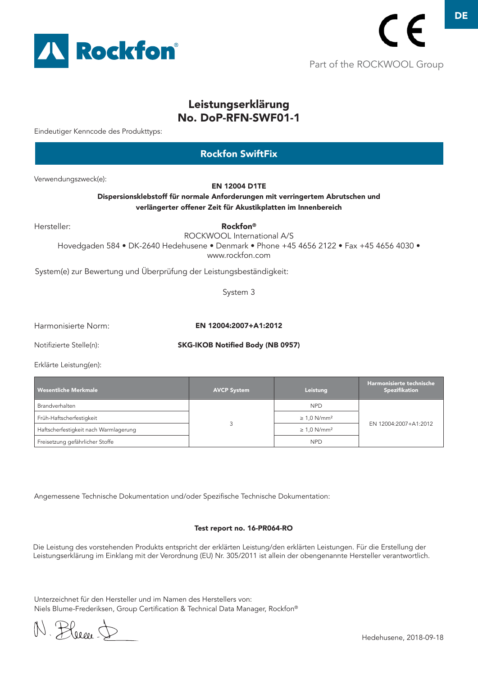

Part of the ROCKWOOL Group

# Leistungserklärung No. DoP-RFN-SWF01-1

Eindeutiger Kenncode des Produkttyps:

# Verwendungszweck(e): Hersteller: System(e) zur Bewertung und Überprüfung der Leistungsbeständigkeit: EN 12004 D1TE Dispersionsklebstoff für normale Anforderungen mit verringertem Abrutschen und verlängerter offener Zeit für Akustikplatten im Innenbereich Rockfon® ROCKWOOL International A/S Hovedgaden 584 • DK-2640 Hedehusene • Denmark • Phone +45 4656 2122 • Fax +45 4656 4030 • www.rockfon.com System 3 Rockfon SwiftFix

Harmonisierte Norm:

EN 12004:2007+A1:2012

Notifizierte Stelle(n):

SKG-IKOB Notified Body (NB 0957)

Erklärte Leistung(en):

| Wesentliche Merkmale                  | <b>AVCP System</b> | Leistung                     | Harmonisierte technische<br><b>Spezifikation</b> |
|---------------------------------------|--------------------|------------------------------|--------------------------------------------------|
| Brandverhalten                        |                    | <b>NPD</b>                   | EN 12004:2007+A1:2012                            |
| Früh-Haftscherfestigkeit              |                    | $\geq 1.0$ N/mm <sup>2</sup> |                                                  |
| Haftscherfestigkeit nach Warmlagerung |                    | $\geq 1.0$ N/mm <sup>2</sup> |                                                  |
| Freisetzung gefährlicher Stoffe       |                    | <b>NPD</b>                   |                                                  |

Angemessene Technische Dokumentation und/oder Spezifische Technische Dokumentation:

#### Test report no. 16-PR064-RO

Die Leistung des vorstehenden Produkts entspricht der erklärten Leistung/den erklärten Leistungen. Für die Erstellung der Leistungserklärung im Einklang mit der Verordnung (EU) Nr. 305/2011 ist allein der obengenannte Hersteller verantwortlich.

Unterzeichnet für den Hersteller und im Namen des Herstellers von: Niels Blume-Frederiksen, Group Certification & Technical Data Manager, Rockfon®

N. Pleese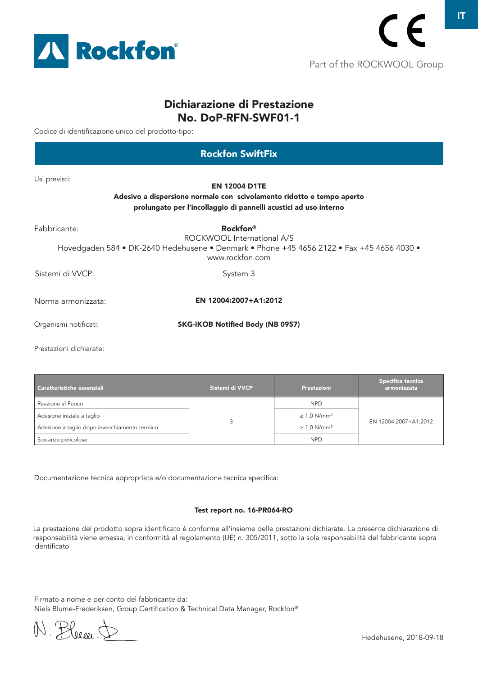

### Dichiarazione di Prestazione No. DoP-RFN-SWF01-1

Codice di identificazione unico del prodotto-tipo:

| <b>Rockfon SwiftFix</b> |                                                                                                                                                                           |  |  |  |
|-------------------------|---------------------------------------------------------------------------------------------------------------------------------------------------------------------------|--|--|--|
| Usi previsti:           | <b>EN 12004 D1TE</b><br>Adesivo a dispersione normale con scivolamento ridotto e tempo aperto<br>prolungato per l'incollaggio di pannelli acustici ad uso interno         |  |  |  |
| Fabbricante:            | <b>Rockfon</b> <sup>®</sup><br>ROCKWOOL International A/S<br>Hovedgaden 584 • DK-2640 Hedehusene • Denmark • Phone +45 4656 2122 • Fax +45 4656 4030 •<br>www.rockfon.com |  |  |  |
| Sistemi di VVCP:        | System 3                                                                                                                                                                  |  |  |  |
| Norma armonizzata:      | EN 12004:2007+A1:2012                                                                                                                                                     |  |  |  |
| Organismi notificati:   | <b>SKG-IKOB Notified Body (NB 0957)</b>                                                                                                                                   |  |  |  |
| Prestazioni dichiarate: |                                                                                                                                                                           |  |  |  |

| Caratteristiche essenziali                    | Sistemi di VVCP | Prestazioni                  | Specifica tecnica<br>armonizzata |
|-----------------------------------------------|-----------------|------------------------------|----------------------------------|
| Reazione al Fuoco                             |                 | <b>NPD</b>                   |                                  |
| Adesione iniziale a taglio                    |                 | $\geq 1.0$ N/mm <sup>2</sup> | EN 12004:2007+A1:2012            |
| Adesione a taglio dopo invecchiamento termico |                 | $\geq 1.0$ N/mm <sup>2</sup> |                                  |
| Sostanze pericolose                           |                 | <b>NPD</b>                   |                                  |

Documentazione tecnica appropriata e/o documentazione tecnica specifica:

#### Test report no. 16-PR064-RO

La prestazione del prodotto sopra identificato è conforme all'insieme delle prestazioni dichiarate. La presente dichiarazione di responsabilità viene emessa, in conformità al regolamento (UE) n. 305/2011, sotto la sola responsabilità del fabbricante sopra identificato

Firmato a nome e per conto del fabbricante da: Niels Blume-Frederiksen, Group Certification & Technical Data Manager, Rockfon®

N. Bleece J